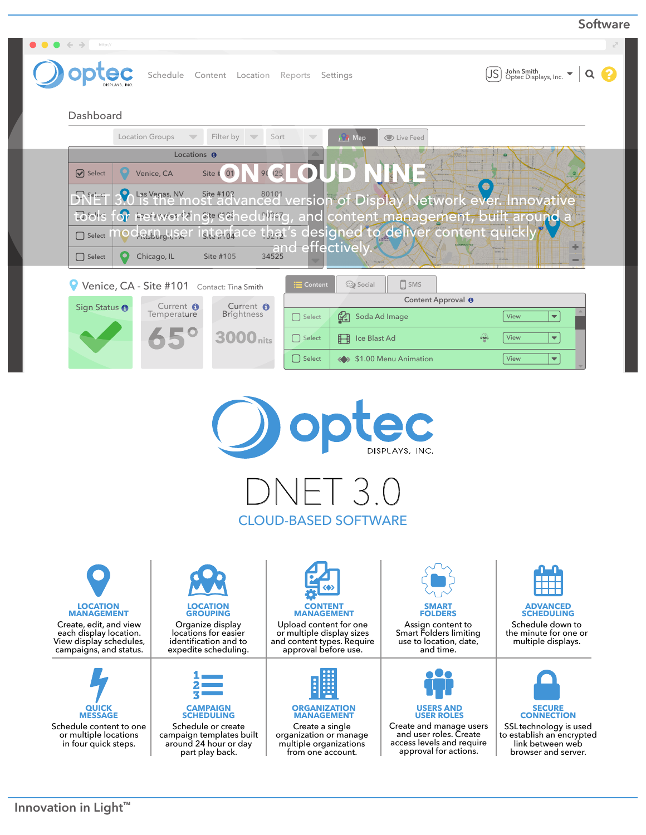| $\bullet$ $\leftarrow$ $\rightarrow$<br>http://           |                                                                  |                                            |                                                     |                       |                                                                           |   |
|-----------------------------------------------------------|------------------------------------------------------------------|--------------------------------------------|-----------------------------------------------------|-----------------------|---------------------------------------------------------------------------|---|
| <b>ptec</b><br>Schedule Content Location Reports Settings |                                                                  |                                            |                                                     |                       | John Smith<br>Optec Displays, Inc.<br><u>JS</u>                           | Q |
| Dashboard                                                 |                                                                  |                                            |                                                     |                       |                                                                           |   |
|                                                           | Location Groups<br>$\overline{\phantom{m}}$                      | Filter by $\overline{\phantom{a}}$<br>Sort | <b>OR</b> Map                                       | C Live Feed           |                                                                           |   |
| $\triangledown$ Select                                    | Locations <b>O</b><br>Venice, CA                                 | <b>25</b><br>Site #<br>01<br>90            |                                                     |                       |                                                                           |   |
| $\sum$ Select                                             |                                                                  |                                            |                                                     |                       | Las Vegas, NY Site #10? 80101 version of Display Network ever. Innovative |   |
| 7.545                                                     |                                                                  |                                            |                                                     |                       | or retwerking, scheduling, and content management, built around a         |   |
| $\Box$ Select                                             | OCRILL <sub>rg</sub> H, Sel                                      |                                            | gterdace that's designed to deliver content quickly |                       |                                                                           |   |
| $\Box$ Select                                             | Chicago, IL                                                      | Site #105                                  | and effectively.                                    |                       | <b>WAENS</b>                                                              | − |
|                                                           |                                                                  |                                            | Social<br>$\mathrel{\mathop:}=$ Content             | $\Box$ SMS            |                                                                           |   |
|                                                           | Venice, CA - Site #101 Contact: Tina Smith<br>Content Approval O |                                            |                                                     |                       |                                                                           |   |
| Sign Status <sup>O</sup>                                  | Current <b>O</b><br>Temperature                                  | Current O<br>Brightness                    | 飖<br>$\Box$ Select                                  | Soda Ad Image         | $\blacktriangledown$<br>View                                              |   |
|                                                           |                                                                  | <b>3000</b> nits                           | $\Box$ Select<br><b>Ford</b> Ice Blast Ad           |                       | EMC<br>View<br>$\blacktriangledown$                                       |   |
|                                                           |                                                                  |                                            | $\Box$ Select                                       | \$1.00 Menu Animation | $\blacktriangledown$<br>View                                              |   |
|                                                           |                                                                  |                                            |                                                     | AC                    |                                                                           |   |
|                                                           |                                                                  |                                            |                                                     | DISPLAYS, INC.        |                                                                           |   |
|                                                           |                                                                  |                                            | $\cup$ inli j.v                                     |                       |                                                                           |   |
|                                                           |                                                                  |                                            |                                                     |                       |                                                                           |   |
|                                                           |                                                                  |                                            | <b>CLOUD-BASED SOFTWARE</b>                         |                       |                                                                           |   |
|                                                           |                                                                  |                                            |                                                     |                       |                                                                           |   |

Create, edit, and view each display location. View display schedules, campaigns, and status.

**QUICK MESSAGE** Schedule content to one or multiple locations in four quick steps.





Schedule or create campaign templates built around 24 hour or day part play back.

**MANAGEMENT** Upload content for one or multiple display sizes and content types. Require approval before use.



**ORGANIZATION MANAGEMENT**



**FOLDERS** Assign content to Smart Folders limiting use to location, date,

and time.



Create and manage users and user roles. Create access levels and require approval for actions.



Schedule down to the minute for one or multiple displays.



SSLtechnology is used to establish an encrypted link between web browser and server.